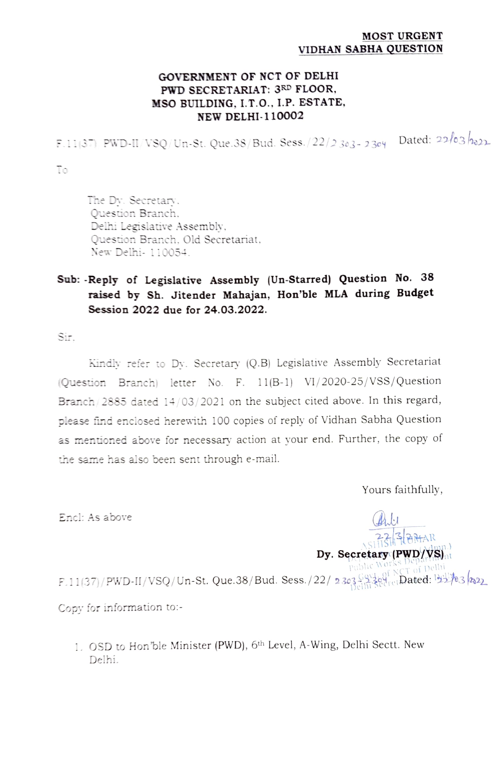## MOST URGENT VIDHAN SABHA QUESTION

## GOVERNMENT OF NCT OF DELHI PWD SECRETARIAT: 3RD FLOOR. MSO BUILDING, I.T.O., I.P. ESTATE, NEW DELHI-110002

F.11(37) PWD-II/VSQ/Un-St. Que.38/Bud. Sess./22/2303-2304 Dated: 22/03/2021

To.

The Dv. Secretary, Ouestion Branch. Delhi Legislative Assembly, Question Branch. Old Secretariat, New Delhi- 110054

## Sub: -Reply of Legislative Assembly (Un-Starred) Question No. 38 raised by sh. Jitender Mahajan, Hon'ble MLA during Budget Session 2022 due for 24.03.2022.

Sir.

Kindly refer to Dy. Secretary (Q.B) Legislative Assembly Secretariat Question Branch) letter No. F. 11(B-1) VI/2020-25/Vss/Question Branch 2885 dated 14/03/2021 on the subject cited above. In this regard, please ind enciosed herewith 100 copies of reply of Vidhan Sabha Question as mentioned above for necessary action at your end. Further, the copy of he same has also been sent through e-mail.

Yours faithfully,

Encl: As above

**Dy. Secretary (PWD)** WS at

Public Website Recreation (Public Worss Depublic Recreation of Delhi<br>P.11(37)/PWD-II/VSQ/Un-St. Que.38/Bud. Sess. /22/ 2303 Ogyd of NCT of Delhi Copy for information to:

1. OSD to Hon'ble Minister (PWD), 6<sup>th</sup> Level, A-Wing, Delhi Sectt. New Delhi